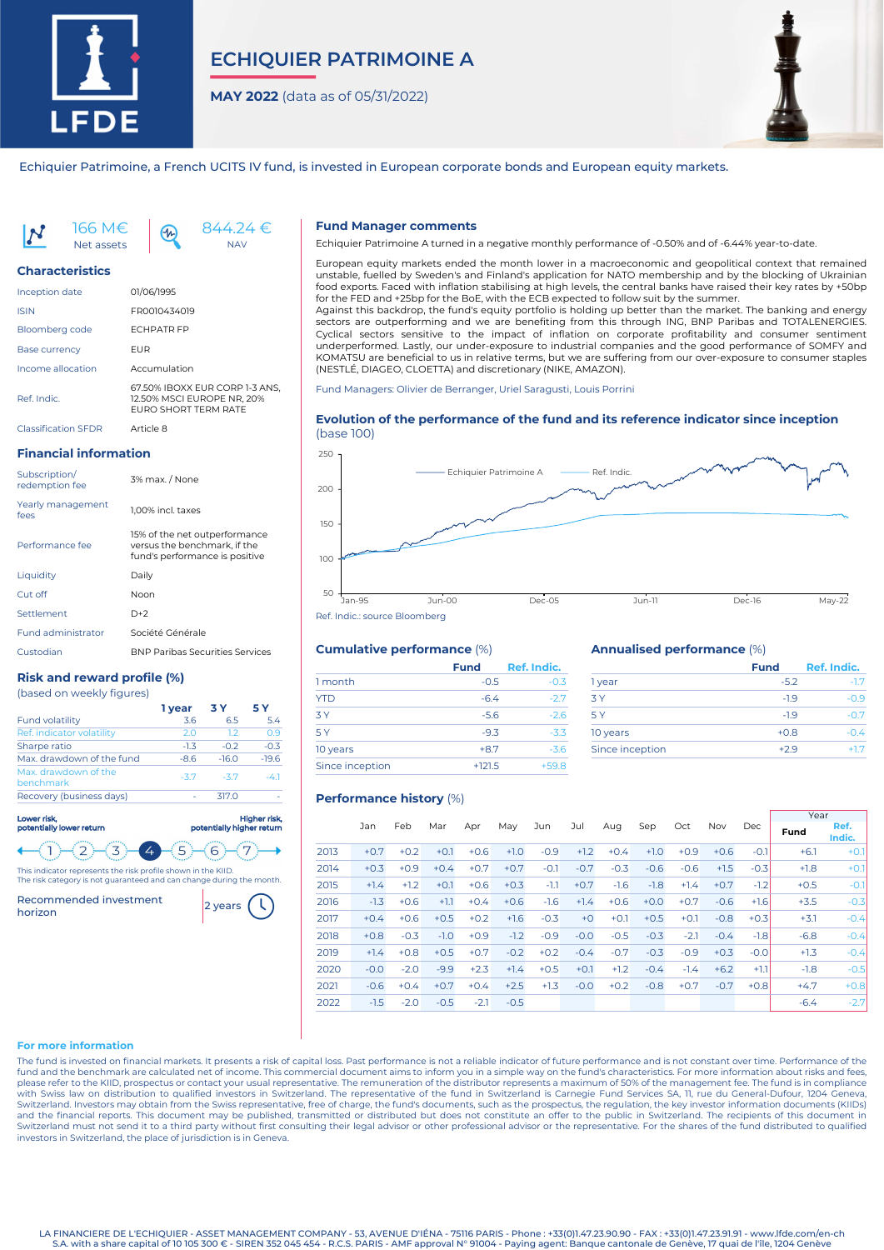

# **ECHIQUIER PATRIMOINE A**

**MAY 2022** (data as of 05/31/2022)



Echiquier Patrimoine, a French UCITS IV fund, is invested in European corporate bonds and European equity markets.



#### **Characteristics**

| <b>Inception date</b>      | 01/06/1995                                                                                  |
|----------------------------|---------------------------------------------------------------------------------------------|
| <b>ISIN</b>                | FR0010434019                                                                                |
| <b>Bloomberg code</b>      | <b>FCHPATR FP</b>                                                                           |
| <b>Base currency</b>       | FUR                                                                                         |
| Income allocation          | Accumulation                                                                                |
| Ref. Indic.                | 67.50% IBOXX EUR CORP 1-3 ANS.<br>12.50% MSCI EUROPE NR, 20%<br><b>FURO SHORT TERM RATE</b> |
| <b>Classification SEDR</b> | Article 8                                                                                   |

## **Financial information**

| Subscription/<br>redemption fee | 3% max. / None                                                                                  |
|---------------------------------|-------------------------------------------------------------------------------------------------|
| Yearly management<br>fees       | 1.00% incl. taxes                                                                               |
| Performance fee                 | 15% of the net outperformance<br>versus the benchmark, if the<br>fund's performance is positive |
| Liquidity                       | Dailv                                                                                           |
| Cut off                         | Noon                                                                                            |
| Settlement                      | $D+2$                                                                                           |
| <b>Fund administrator</b>       | Société Générale                                                                                |
| Custodian                       | <b>BNP Paribas Securities Services</b>                                                          |

## **Risk and reward profile (%)**

|  |  |  |  | (based on weekly figures) |  |
|--|--|--|--|---------------------------|--|
|--|--|--|--|---------------------------|--|

|                                   | 1 year | 3 Y     | 5 Y     |
|-----------------------------------|--------|---------|---------|
| <b>Fund volatility</b>            | 3.6    | 6.5     | 5.4     |
| Ref. indicator volatility         | 2.0    | 1.2     | 0.9     |
| Sharpe ratio                      | $-1.3$ | $-0.2$  | $-0.3$  |
| Max, drawdown of the fund         | $-8.6$ | $-16.0$ | $-19.6$ |
| Max, drawdown of the<br>benchmark | $-3.7$ | $-37$   | -41     |
| Recovery (business days)          |        | 317.0   |         |

| Lower risk.<br>potentially lower return                     | Higher risk,<br>potentially higher return |
|-------------------------------------------------------------|-------------------------------------------|
|                                                             |                                           |
| This indicator represents the risk profile shown in the KID |                                           |

This indicator represents the risk profile shown in the KIID. The risk category is not guaranteed and can change during the month.

Recommended investment [2] years

### **Fund Manager comments**

Echiquier Patrimoine A turned in a negative monthly performance of -0.50% and of -6.44% year-to-date.

European equity markets ended the month lower in a macroeconomic and geopolitical context that remained unstable, fuelled by Sweden's and Finland's application for NATO membership and by the blocking of Ukrainian food exports. Faced with inflation stabilising at high levels, the central banks have raised their key rates by +50bp for the FED and +25bp for the BoE, with the ECB expected to follow suit by the summer. Against this backdrop, the fund's equity portfolio is holding up better than the market. The banking and energy

sectors are outperforming and we are benefiting from this through ING, BNP Paribas and TOTALENERGIES. Cyclical sectors sensitive to the impact of inflation on corporate profitability and consumer sentiment underperformed. Lastly, our under-exposure to industrial companies and the good performance of SOMFY and KOMATSU are beneficial to us in relative terms, but we are suffering from our over-exposure to consumer staples (NESTLÉ, DIAGEO, CLOETTA) and discretionary (NIKE, AMAZON).

Fund Managers: Olivier de Berranger, Uriel Saragusti, Louis Porrini

## **Evolution of the performance of the fund and its reference indicator since inception** (base 100)



## **Cumulative performance** (%)

|                 | <b>Fund</b> | Ref. Indic. |
|-----------------|-------------|-------------|
| 1 month         | $-0.5$      | $-0.3$      |
| <b>YTD</b>      | $-6.4$      | $-2.7$      |
| 3Y              | $-5.6$      | $-2.6$      |
| 5 Y             | $-9.3$      | $-3.3$      |
| 10 years        | $+8.7$      | $-3.6$      |
| Since inception | $+121.5$    | $+59.8$     |

### **Annualised performance** (%)

|                 | <b>Fund</b> | Ref. Indic. |
|-----------------|-------------|-------------|
| 1 year          | $-5.2$      | $-1.7$      |
| 3 Y             | $-19$       | $-0.9$      |
| 5 Y             | $-19$       | -07         |
| 10 years        | $+0.8$      | $-04$       |
| Since inception | $+29$       | $+17$       |

## **Performance history** (%)

|      |        |        |        |        |        |        |        |        |        |        |        |        | Year   |                |
|------|--------|--------|--------|--------|--------|--------|--------|--------|--------|--------|--------|--------|--------|----------------|
|      | Jan    | Feb    | Mar    | Apr    | May    | Jun    | Jul    | Aug    | Sep    | Oct    | Nov    | Dec    | Fund   | Ref.<br>Indic. |
| 2013 | $+0.7$ | $+0.2$ | $+0.1$ | $+0.6$ | $+1.0$ | $-0.9$ | $+1.2$ | $+0.4$ | $+1.0$ | $+0.9$ | $+0.6$ | $-0.1$ | $+6.1$ | $+0.1$         |
| 2014 | $+0.3$ | $+0.9$ | $+0.4$ | $+0.7$ | $+0.7$ | $-0.1$ | $-0.7$ | $-0.3$ | $-0.6$ | $-0.6$ | $+1.5$ | $-0.3$ | $+1.8$ | $+0.1$         |
| 2015 | $+1.4$ | $+1.2$ | $+0.1$ | $+0.6$ | $+0.3$ | $-1.1$ | $+0.7$ | $-1.6$ | $-1.8$ | $+1.4$ | $+0.7$ | $-1.2$ | $+0.5$ | $-0.1$         |
| 2016 | $-1.3$ | $+0.6$ | $+1.1$ | $+0.4$ | $+0.6$ | $-1.6$ | $+1.4$ | $+0.6$ | $+0.0$ | $+0.7$ | $-0.6$ | $+1.6$ | $+3.5$ | $-0.3$         |
| 2017 | $+0.4$ | $+0.6$ | $+0.5$ | $+0.2$ | $+1.6$ | $-0.3$ | $+0$   | $+0.1$ | $+0.5$ | $+0.1$ | $-0.8$ | $+0.3$ | $+3.1$ | $-0.4$         |
| 2018 | $+0.8$ | $-0.3$ | $-1.0$ | $+0.9$ | $-1.2$ | $-0.9$ | $-0.0$ | $-0.5$ | $-0.3$ | $-2.1$ | $-0.4$ | $-1.8$ | $-6.8$ | $-0.4$         |
| 2019 | $+1.4$ | $+0.8$ | $+0.5$ | $+0.7$ | $-0.2$ | $+0.2$ | $-0.4$ | $-0.7$ | $-0.3$ | $-0.9$ | $+0.3$ | $-0.0$ | $+1.3$ | $-0.4$         |
| 2020 | $-0.0$ | $-2.0$ | $-9.9$ | $+2.3$ | $+1.4$ | $+0.5$ | $+0.1$ | $+1.2$ | $-0.4$ | $-1.4$ | $+6.2$ | $+1.1$ | $-1.8$ | $-0.5$         |
| 2021 | $-0.6$ | $+0.4$ | $+0.7$ | $+0.4$ | $+2.5$ | $+1.3$ | $-0.0$ | $+0.2$ | $-0.8$ | $+0.7$ | $-0.7$ | $+0.8$ | $+4.7$ | $+0.8$         |
| 2022 | $-1.5$ | $-2.0$ | $-0.5$ | $-2.1$ | $-0.5$ |        |        |        |        |        |        |        | $-6.4$ | $-2.7$         |

## **For more information**

The fund is invested on financial markets. It presents a risk of capital loss. Past performance is not a reliable indicator of future performance and is not constant over time. Performance of the fund and the benchmark are calculated net of income. This commercial document aims to inform you in a simple way on the fund's characteristics. For more information about risks and fees, please refer to the KIID, prospectus or contact your usual representative. The remuneration of the distributor represents a maximum of 50% of the management fee. The fund is in compliance with Swiss law on distribution to qualified investors in Switzerland. The representative of the fund in Switzerland is Carnegie Fund Services SA, 11, rue du General-Dufour, 1204 Geneva,<br>Switzerland. Investors may obtain fr Switzerland must not send it to a third party without first consulting their legal advisor or other professional advisor or the representative. For the shares of the fund distributed to qualified investors in Switzerland, the place of jurisdiction is in Geneva.

LA FINANCIERE DE L'ECHIQUIER - ASSET MANAGEMENT COMPANY - 53, AVENUE D'IÉNA - 75116 PARIS - Phone : +33(0)1.47.23.90.90 - FAX : +33(0)1.47.23.91.91 - www.lfde.com/en-ch S.A. with a share capital of 10 105 300 € - SIREN 352 045 454 - R.C.S. PARIS - AMF approval N° 91004 - Paying agent: Banque cantonale de Genève, 17 quai de l'île, 1204 Genève